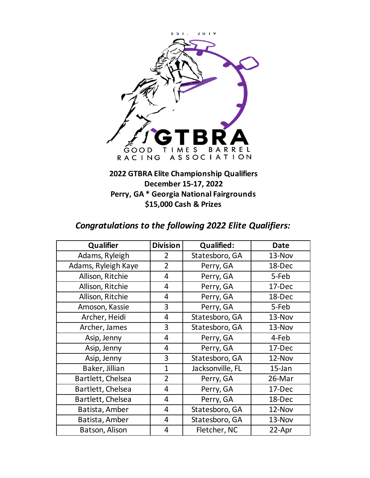

## **2022 GTBRA Elite Championship Qualifiers Perry, GA \* Georgia National Fairgrounds December 15-17, 2022 \$15,000 Cash & Prizes**

## *Congratulations to the following 2022 Elite Qualifiers:*

| Qualifier           | <b>Division</b> | <b>Qualified:</b> | <b>Date</b> |
|---------------------|-----------------|-------------------|-------------|
| Adams, Ryleigh      | 2               | Statesboro, GA    | 13-Nov      |
| Adams, Ryleigh Kaye | $\overline{2}$  | Perry, GA         | 18-Dec      |
| Allison, Ritchie    | $\overline{4}$  | Perry, GA         | 5-Feb       |
| Allison, Ritchie    | $\overline{4}$  | Perry, GA         | 17-Dec      |
| Allison, Ritchie    | 4               | Perry, GA         | 18-Dec      |
| Amoson, Kassie      | 3               | Perry, GA         | 5-Feb       |
| Archer, Heidi       | 4               | Statesboro, GA    | 13-Nov      |
| Archer, James       | 3               | Statesboro, GA    | 13-Nov      |
| Asip, Jenny         | 4               | Perry, GA         | 4-Feb       |
| Asip, Jenny         | 4               | Perry, GA         | 17-Dec      |
| Asip, Jenny         | 3               | Statesboro, GA    | 12-Nov      |
| Baker, Jillian      | $\mathbf{1}$    | Jacksonville, FL  | $15$ -Jan   |
| Bartlett, Chelsea   | $\overline{2}$  | Perry, GA         | 26-Mar      |
| Bartlett, Chelsea   | 4               | Perry, GA         | 17-Dec      |
| Bartlett, Chelsea   | 4               | Perry, GA         | 18-Dec      |
| Batista, Amber      | 4               | Statesboro, GA    | 12-Nov      |
| Batista, Amber      | 4               | Statesboro, GA    | 13-Nov      |
| Batson, Alison      | 4               | Fletcher, NC      | 22-Apr      |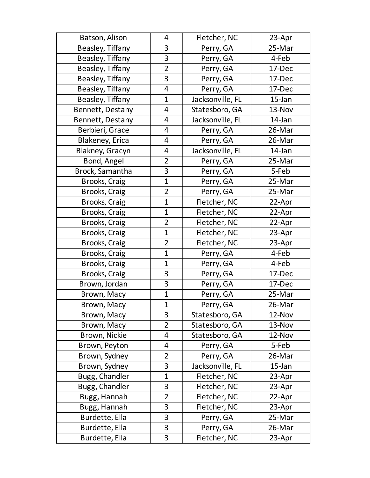| Batson, Alison   | 4              | Fletcher, NC     | 23-Apr    |
|------------------|----------------|------------------|-----------|
| Beasley, Tiffany | 3              | Perry, GA        | 25-Mar    |
| Beasley, Tiffany | 3              | Perry, GA        | 4-Feb     |
| Beasley, Tiffany | $\overline{2}$ | Perry, GA        | 17-Dec    |
| Beasley, Tiffany | 3              | Perry, GA        | 17-Dec    |
| Beasley, Tiffany | 4              | Perry, GA        | 17-Dec    |
| Beasley, Tiffany | $\mathbf 1$    | Jacksonville, FL | $15$ -Jan |
| Bennett, Destany | 4              | Statesboro, GA   | 13-Nov    |
| Bennett, Destany | 4              | Jacksonville, FL | 14-Jan    |
| Berbieri, Grace  | 4              | Perry, GA        | 26-Mar    |
| Blakeney, Erica  | 4              | Perry, GA        | 26-Mar    |
| Blakney, Gracyn  | 4              | Jacksonville, FL | 14-Jan    |
| Bond, Angel      | $\overline{2}$ | Perry, GA        | 25-Mar    |
| Brock, Samantha  | 3              | Perry, GA        | 5-Feb     |
| Brooks, Craig    | $\overline{1}$ | Perry, GA        | 25-Mar    |
| Brooks, Craig    | $\overline{2}$ | Perry, GA        | 25-Mar    |
| Brooks, Craig    | $\mathbf{1}$   | Fletcher, NC     | 22-Apr    |
| Brooks, Craig    | $\mathbf 1$    | Fletcher, NC     | 22-Apr    |
| Brooks, Craig    | $\overline{2}$ | Fletcher, NC     | 22-Apr    |
| Brooks, Craig    | $\mathbf{1}$   | Fletcher, NC     | 23-Apr    |
| Brooks, Craig    | $\overline{2}$ | Fletcher, NC     | 23-Apr    |
| Brooks, Craig    | $\overline{1}$ | Perry, GA        | 4-Feb     |
| Brooks, Craig    | $\overline{1}$ | Perry, GA        | 4-Feb     |
| Brooks, Craig    | 3              | Perry, GA        | 17-Dec    |
| Brown, Jordan    | 3              | Perry, GA        | 17-Dec    |
| Brown, Macy      | $\mathbf{1}$   | Perry, GA        | 25-Mar    |
| Brown, Macy      | $\overline{1}$ | Perry, GA        | 26-Mar    |
| Brown, Macy      | 3              | Statesboro, GA   | 12-Nov    |
| Brown, Macy      | $\overline{2}$ | Statesboro, GA   | 13-Nov    |
| Brown, Nickie    | 4              | Statesboro, GA   | 12-Nov    |
| Brown, Peyton    | 4              | Perry, GA        | 5-Feb     |
| Brown, Sydney    | $\overline{2}$ | Perry, GA        | 26-Mar    |
| Brown, Sydney    | 3              | Jacksonville, FL | $15$ -Jan |
| Bugg, Chandler   | $\mathbf 1$    | Fletcher, NC     | 23-Apr    |
| Bugg, Chandler   | 3              | Fletcher, NC     | 23-Apr    |
| Bugg, Hannah     | $\overline{2}$ | Fletcher, NC     | 22-Apr    |
| Bugg, Hannah     | 3              | Fletcher, NC     | 23-Apr    |
| Burdette, Ella   | 3              | Perry, GA        | 25-Mar    |
| Burdette, Ella   | 3              | Perry, GA        | 26-Mar    |
| Burdette, Ella   | 3              | Fletcher, NC     | 23-Apr    |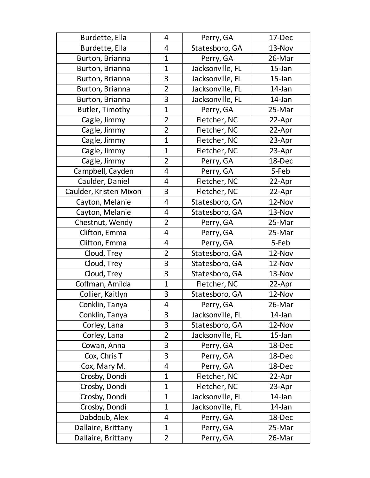| Burdette, Ella         | 4              | Perry, GA        | 17-Dec    |
|------------------------|----------------|------------------|-----------|
| Burdette, Ella         | 4              | Statesboro, GA   | 13-Nov    |
| Burton, Brianna        | $\mathbf 1$    | Perry, GA        | 26-Mar    |
| Burton, Brianna        | $\mathbf{1}$   | Jacksonville, FL | $15$ -Jan |
| Burton, Brianna        | 3              | Jacksonville, FL | $15$ -Jan |
| Burton, Brianna        | $\overline{2}$ | Jacksonville, FL | 14-Jan    |
| Burton, Brianna        | 3              | Jacksonville, FL | 14-Jan    |
| Butler, Timothy        | $\overline{1}$ | Perry, GA        | 25-Mar    |
| Cagle, Jimmy           | $\overline{2}$ | Fletcher, NC     | 22-Apr    |
| Cagle, Jimmy           | $\overline{2}$ | Fletcher, NC     | 22-Apr    |
| Cagle, Jimmy           | $\mathbf{1}$   | Fletcher, NC     | 23-Apr    |
| Cagle, Jimmy           | $\mathbf 1$    | Fletcher, NC     | 23-Apr    |
| Cagle, Jimmy           | $\overline{2}$ | Perry, GA        | 18-Dec    |
| Campbell, Cayden       | 4              | Perry, GA        | 5-Feb     |
| Caulder, Daniel        | 4              | Fletcher, NC     | 22-Apr    |
| Caulder, Kristen Mixon | 3              | Fletcher, NC     | 22-Apr    |
| Cayton, Melanie        | 4              | Statesboro, GA   | 12-Nov    |
| Cayton, Melanie        | 4              | Statesboro, GA   | 13-Nov    |
| Chestnut, Wendy        | $\overline{2}$ | Perry, GA        | 25-Mar    |
| Clifton, Emma          | 4              | Perry, GA        | 25-Mar    |
| Clifton, Emma          | 4              | Perry, GA        | 5-Feb     |
| Cloud, Trey            | $\overline{2}$ | Statesboro, GA   | 12-Nov    |
| Cloud, Trey            | 3              | Statesboro, GA   | 12-Nov    |
| Cloud, Trey            | 3              | Statesboro, GA   | 13-Nov    |
| Coffman, Amilda        | $\overline{1}$ | Fletcher, NC     | 22-Apr    |
| Collier, Kaitlyn       | 3              | Statesboro, GA   | 12-Nov    |
| Conklin, Tanya         | 4              | Perry, GA        | 26-Mar    |
| Conklin, Tanya         | 3              | Jacksonville, FL | 14-Jan    |
| Corley, Lana           | 3              | Statesboro, GA   | 12-Nov    |
| Corley, Lana           | $\overline{2}$ | Jacksonville, FL | $15$ -Jan |
| Cowan, Anna            | 3              | Perry, GA        | 18-Dec    |
| Cox, Chris T           | 3              | Perry, GA        | 18-Dec    |
| Cox, Mary M.           | 4              | Perry, GA        | 18-Dec    |
| Crosby, Dondi          | $\mathbf{1}$   | Fletcher, NC     | 22-Apr    |
| Crosby, Dondi          | $\mathbf{1}$   | Fletcher, NC     | 23-Apr    |
| Crosby, Dondi          | $\mathbf{1}$   | Jacksonville, FL | 14-Jan    |
| Crosby, Dondi          | $\mathbf{1}$   | Jacksonville, FL | 14-Jan    |
| Dabdoub, Alex          | 4              | Perry, GA        | 18-Dec    |
| Dallaire, Brittany     | $\mathbf 1$    | Perry, GA        | 25-Mar    |
| Dallaire, Brittany     | $\overline{2}$ | Perry, GA        | 26-Mar    |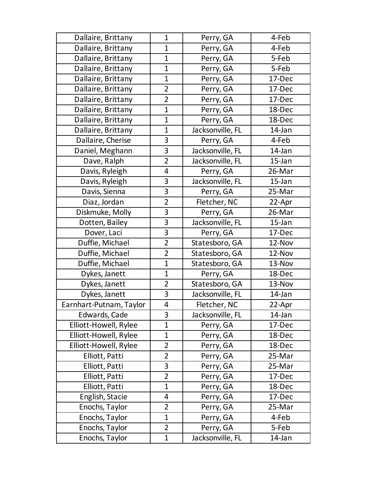| Dallaire, Brittany      | $\mathbf 1$    | Perry, GA        | 4-Feb     |
|-------------------------|----------------|------------------|-----------|
| Dallaire, Brittany      | $\mathbf 1$    | Perry, GA        | 4-Feb     |
| Dallaire, Brittany      | $\mathbf 1$    | Perry, GA        | 5-Feb     |
| Dallaire, Brittany      | $\mathbf{1}$   | Perry, GA        | 5-Feb     |
| Dallaire, Brittany      | $\mathbf{1}$   | Perry, GA        | 17-Dec    |
| Dallaire, Brittany      | $\overline{2}$ | Perry, GA        | 17-Dec    |
| Dallaire, Brittany      | $\overline{2}$ | Perry, GA        | 17-Dec    |
| Dallaire, Brittany      | $\mathbf{1}$   | Perry, GA        | 18-Dec    |
| Dallaire, Brittany      | $\mathbf 1$    | Perry, GA        | 18-Dec    |
| Dallaire, Brittany      | $\mathbf 1$    | Jacksonville, FL | 14-Jan    |
| Dallaire, Cherise       | 3              | Perry, GA        | 4-Feb     |
| Daniel, Meghann         | 3              | Jacksonville, FL | 14-Jan    |
| Dave, Ralph             | $\overline{2}$ | Jacksonville, FL | $15$ -Jan |
| Davis, Ryleigh          | 4              | Perry, GA        | 26-Mar    |
| Davis, Ryleigh          | 3              | Jacksonville, FL | $15$ -Jan |
| Davis, Sienna           | 3              | Perry, GA        | 25-Mar    |
| Diaz, Jordan            | $\overline{2}$ | Fletcher, NC     | 22-Apr    |
| Diskmuke, Molly         | 3              | Perry, GA        | 26-Mar    |
| Dotten, Bailey          | 3              | Jacksonville, FL | $15$ -Jan |
| Dover, Laci             | 3              | Perry, GA        | 17-Dec    |
| Duffie, Michael         | $\overline{2}$ | Statesboro, GA   | 12-Nov    |
| Duffie, Michael         | $\overline{2}$ | Statesboro, GA   | 12-Nov    |
| Duffie, Michael         | $\mathbf{1}$   | Statesboro, GA   | 13-Nov    |
| Dykes, Janett           | $\mathbf 1$    | Perry, GA        | 18-Dec    |
| Dykes, Janett           | $\overline{2}$ | Statesboro, GA   | 13-Nov    |
| Dykes, Janett           | 3              | Jacksonville, FL | 14-Jan    |
| Earnhart-Putnam, Taylor | 4              | Fletcher, NC     | 22-Apr    |
| Edwards, Cade           | 3              | Jacksonville, FL | 14-Jan    |
| Elliott-Howell, Rylee   | $\mathbf{1}$   | Perry, GA        | 17-Dec    |
| Elliott-Howell, Rylee   | $\mathbf{1}$   | Perry, GA        | 18-Dec    |
| Elliott-Howell, Rylee   | $\overline{2}$ | Perry, GA        | 18-Dec    |
| Elliott, Patti          | $\overline{2}$ | Perry, GA        | 25-Mar    |
| Elliott, Patti          | 3              | Perry, GA        | 25-Mar    |
| Elliott, Patti          | $\overline{2}$ | Perry, GA        | 17-Dec    |
| Elliott, Patti          | $\mathbf{1}$   | Perry, GA        | 18-Dec    |
| English, Stacie         | 4              | Perry, GA        | 17-Dec    |
| Enochs, Taylor          | $\overline{2}$ | Perry, GA        | 25-Mar    |
| Enochs, Taylor          | $\mathbf{1}$   | Perry, GA        | 4-Feb     |
| Enochs, Taylor          | $\overline{2}$ | Perry, GA        | 5-Feb     |
| Enochs, Taylor          | $\mathbf{1}$   | Jacksonville, FL | 14-Jan    |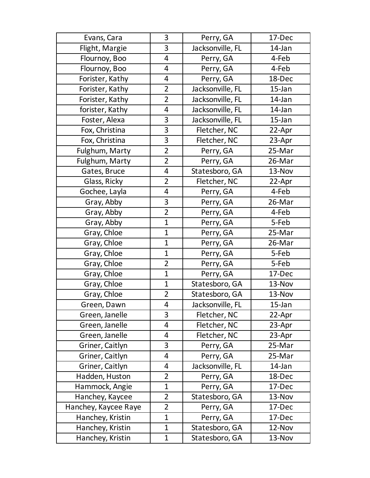| Evans, Cara          | 3              | Perry, GA        | 17-Dec    |
|----------------------|----------------|------------------|-----------|
| Flight, Margie       | 3              | Jacksonville, FL | 14-Jan    |
| Flournoy, Boo        | 4              | Perry, GA        | 4-Feb     |
| Flournoy, Boo        | 4              | Perry, GA        | 4-Feb     |
| Forister, Kathy      | 4              | Perry, GA        | 18-Dec    |
| Forister, Kathy      | $\overline{2}$ | Jacksonville, FL | $15$ -Jan |
| Forister, Kathy      | $\overline{2}$ | Jacksonville, FL | 14-Jan    |
| forister, Kathy      | 4              | Jacksonville, FL | 14-Jan    |
| Foster, Alexa        | 3              | Jacksonville, FL | $15$ -Jan |
| Fox, Christina       | 3              | Fletcher, NC     | 22-Apr    |
| Fox, Christina       | 3              | Fletcher, NC     | 23-Apr    |
| Fulghum, Marty       | $\overline{2}$ | Perry, GA        | 25-Mar    |
| Fulghum, Marty       | $\overline{2}$ | Perry, GA        | 26-Mar    |
| Gates, Bruce         | $\overline{4}$ | Statesboro, GA   | 13-Nov    |
| Glass, Ricky         | $\overline{2}$ | Fletcher, NC     | 22-Apr    |
| Gochee, Layla        | 4              | Perry, GA        | 4-Feb     |
| Gray, Abby           | 3              | Perry, GA        | 26-Mar    |
| Gray, Abby           | $\overline{2}$ | Perry, GA        | 4-Feb     |
| Gray, Abby           | $\mathbf 1$    | Perry, GA        | 5-Feb     |
| Gray, Chloe          | $\mathbf{1}$   | Perry, GA        | 25-Mar    |
| Gray, Chloe          | $\mathbf 1$    | Perry, GA        | 26-Mar    |
| Gray, Chloe          | $\mathbf 1$    | Perry, GA        | 5-Feb     |
| Gray, Chloe          | $\overline{2}$ | Perry, GA        | 5-Feb     |
| Gray, Chloe          | $\mathbf{1}$   | Perry, GA        | 17-Dec    |
| Gray, Chloe          | $\mathbf{1}$   | Statesboro, GA   | 13-Nov    |
| Gray, Chloe          | $\overline{2}$ | Statesboro, GA   | 13-Nov    |
| Green, Dawn          | 4              | Jacksonville, FL | $15$ -Jan |
| Green, Janelle       | 3              | Fletcher, NC     | 22-Apr    |
| Green, Janelle       | 4              | Fletcher, NC     | 23-Apr    |
| Green, Janelle       | 4              | Fletcher, NC     | 23-Apr    |
| Griner, Caitlyn      | 3              | Perry, GA        | 25-Mar    |
| Griner, Caitlyn      | 4              | Perry, GA        | 25-Mar    |
| Griner, Caitlyn      | 4              | Jacksonville, FL | 14-Jan    |
| Hadden, Huston       | $\overline{2}$ | Perry, GA        | 18-Dec    |
| Hammock, Angie       | $\mathbf{1}$   | Perry, GA        | 17-Dec    |
| Hanchey, Kaycee      | $\overline{2}$ | Statesboro, GA   | 13-Nov    |
| Hanchey, Kaycee Raye | $\overline{2}$ | Perry, GA        | 17-Dec    |
| Hanchey, Kristin     | $\mathbf{1}$   | Perry, GA        | 17-Dec    |
| Hanchey, Kristin     | $\mathbf{1}$   | Statesboro, GA   | 12-Nov    |
| Hanchey, Kristin     | $\mathbf 1$    | Statesboro, GA   | 13-Nov    |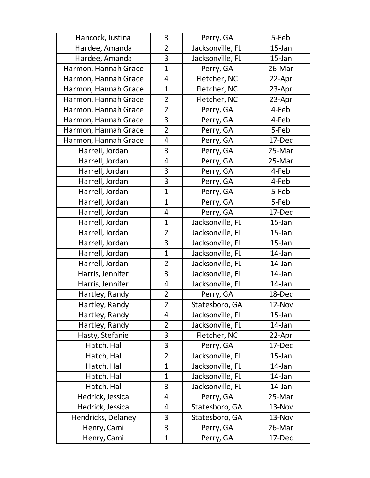| Hancock, Justina     | 3              | Perry, GA        | 5-Feb     |
|----------------------|----------------|------------------|-----------|
| Hardee, Amanda       | $\overline{2}$ | Jacksonville, FL | 15-Jan    |
| Hardee, Amanda       | 3              | Jacksonville, FL | $15$ -Jan |
| Harmon, Hannah Grace | $\mathbf{1}$   | Perry, GA        | 26-Mar    |
| Harmon, Hannah Grace | 4              | Fletcher, NC     | 22-Apr    |
| Harmon, Hannah Grace | $\mathbf 1$    | Fletcher, NC     | 23-Apr    |
| Harmon, Hannah Grace | $\overline{2}$ | Fletcher, NC     | 23-Apr    |
| Harmon, Hannah Grace | $\overline{2}$ | Perry, GA        | 4-Feb     |
| Harmon, Hannah Grace | 3              | Perry, GA        | 4-Feb     |
| Harmon, Hannah Grace | $\overline{2}$ | Perry, GA        | 5-Feb     |
| Harmon, Hannah Grace | 4              | Perry, GA        | 17-Dec    |
| Harrell, Jordan      | 3              | Perry, GA        | 25-Mar    |
| Harrell, Jordan      | 4              | Perry, GA        | 25-Mar    |
| Harrell, Jordan      | 3              | Perry, GA        | 4-Feb     |
| Harrell, Jordan      | 3              | Perry, GA        | 4-Feb     |
| Harrell, Jordan      | $\mathbf{1}$   | Perry, GA        | 5-Feb     |
| Harrell, Jordan      | $\mathbf{1}$   | Perry, GA        | 5-Feb     |
| Harrell, Jordan      | 4              | Perry, GA        | 17-Dec    |
| Harrell, Jordan      | $\mathbf{1}$   | Jacksonville, FL | $15$ -Jan |
| Harrell, Jordan      | $\overline{2}$ | Jacksonville, FL | $15$ -Jan |
| Harrell, Jordan      | 3              | Jacksonville, FL | 15-Jan    |
| Harrell, Jordan      | $\mathbf{1}$   | Jacksonville, FL | 14-Jan    |
| Harrell, Jordan      | $\overline{2}$ | Jacksonville, FL | 14-Jan    |
| Harris, Jennifer     | 3              | Jacksonville, FL | 14-Jan    |
| Harris, Jennifer     | $\overline{4}$ | Jacksonville, FL | 14-Jan    |
| Hartley, Randy       | $\overline{2}$ | Perry, GA        | 18-Dec    |
| Hartley, Randy       | $\overline{2}$ | Statesboro, GA   | 12-Nov    |
| Hartley, Randy       | 4              | Jacksonville, FL | $15$ -Jan |
| Hartley, Randy       | $\overline{2}$ | Jacksonville, FL | 14-Jan    |
| Hasty, Stefanie      | 3              | Fletcher, NC     | 22-Apr    |
| Hatch, Hal           | 3              | Perry, GA        | 17-Dec    |
| Hatch, Hal           | $\overline{2}$ | Jacksonville, FL | $15$ -Jan |
| Hatch, Hal           | $\mathbf 1$    | Jacksonville, FL | 14-Jan    |
| Hatch, Hal           | $\mathbf{1}$   | Jacksonville, FL | 14-Jan    |
| Hatch, Hal           | 3              | Jacksonville, FL | 14-Jan    |
| Hedrick, Jessica     | 4              | Perry, GA        | 25-Mar    |
| Hedrick, Jessica     | 4              | Statesboro, GA   | 13-Nov    |
| Hendricks, Delaney   | 3              | Statesboro, GA   | 13-Nov    |
| Henry, Cami          | 3              | Perry, GA        | 26-Mar    |
| Henry, Cami          | $\mathbf{1}$   | Perry, GA        | 17-Dec    |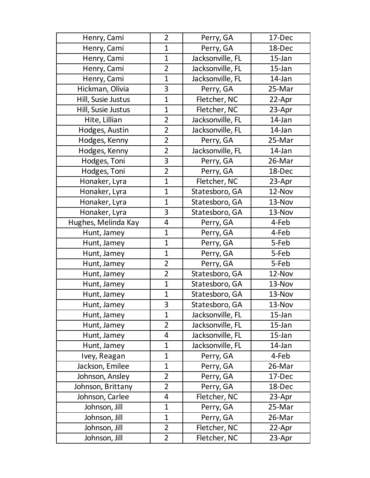| Henry, Cami         | $\overline{2}$ | Perry, GA        | 17-Dec    |
|---------------------|----------------|------------------|-----------|
| Henry, Cami         | $\mathbf{1}$   | Perry, GA        | 18-Dec    |
| Henry, Cami         | $\mathbf 1$    | Jacksonville, FL | $15$ -Jan |
| Henry, Cami         | $\overline{2}$ | Jacksonville, FL | $15$ -Jan |
| Henry, Cami         | $\mathbf{1}$   | Jacksonville, FL | 14-Jan    |
| Hickman, Olivia     | 3              | Perry, GA        | 25-Mar    |
| Hill, Susie Justus  | $\mathbf 1$    | Fletcher, NC     | 22-Apr    |
| Hill, Susie Justus  | $\mathbf 1$    | Fletcher, NC     | 23-Apr    |
| Hite, Lillian       | $\overline{2}$ | Jacksonville, FL | 14-Jan    |
| Hodges, Austin      | $\overline{2}$ | Jacksonville, FL | 14-Jan    |
| Hodges, Kenny       | $\overline{2}$ | Perry, GA        | 25-Mar    |
| Hodges, Kenny       | $\overline{2}$ | Jacksonville, FL | 14-Jan    |
| Hodges, Toni        | 3              | Perry, GA        | 26-Mar    |
| Hodges, Toni        | $\overline{2}$ | Perry, GA        | 18-Dec    |
| Honaker, Lyra       | $\mathbf{1}$   | Fletcher, NC     | 23-Apr    |
| Honaker, Lyra       | $\mathbf{1}$   | Statesboro, GA   | 12-Nov    |
| Honaker, Lyra       | $\mathbf{1}$   | Statesboro, GA   | 13-Nov    |
| Honaker, Lyra       | 3              | Statesboro, GA   | 13-Nov    |
| Hughes, Melinda Kay | 4              | Perry, GA        | 4-Feb     |
| Hunt, Jamey         | $\mathbf{1}$   | Perry, GA        | 4-Feb     |
| Hunt, Jamey         | $\mathbf 1$    | Perry, GA        | 5-Feb     |
| Hunt, Jamey         | $\mathbf 1$    | Perry, GA        | 5-Feb     |
| Hunt, Jamey         | $\overline{2}$ | Perry, GA        | 5-Feb     |
| Hunt, Jamey         | $\overline{2}$ | Statesboro, GA   | 12-Nov    |
| Hunt, Jamey         | $\mathbf{1}$   | Statesboro, GA   | 13-Nov    |
| Hunt, Jamey         | $\mathbf{1}$   | Statesboro, GA   | 13-Nov    |
| Hunt, Jamey         | 3              | Statesboro, GA   | 13-Nov    |
| Hunt, Jamey         | $\mathbf 1$    | Jacksonville, FL | $15$ -Jan |
| Hunt, Jamey         | $\overline{2}$ | Jacksonville, FL | $15$ -Jan |
| Hunt, Jamey         | 4              | Jacksonville, FL | $15$ -Jan |
| Hunt, Jamey         | $\mathbf 1$    | Jacksonville, FL | 14-Jan    |
| Ivey, Reagan        | $\mathbf{1}$   | Perry, GA        | 4-Feb     |
| Jackson, Emilee     | $\mathbf 1$    | Perry, GA        | 26-Mar    |
| Johnson, Ansley     | $\overline{2}$ | Perry, GA        | 17-Dec    |
| Johnson, Brittany   | $\overline{2}$ | Perry, GA        | 18-Dec    |
| Johnson, Carlee     | 4              | Fletcher, NC     | 23-Apr    |
| Johnson, Jill       | $\mathbf 1$    | Perry, GA        | 25-Mar    |
| Johnson, Jill       | $\mathbf{1}$   | Perry, GA        | 26-Mar    |
| Johnson, Jill       | $\overline{2}$ | Fletcher, NC     | 22-Apr    |
| Johnson, Jill       | $\overline{2}$ | Fletcher, NC     | 23-Apr    |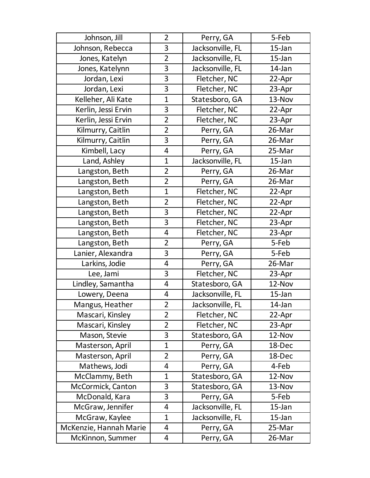| Johnson, Jill          | $\overline{2}$ | Perry, GA        | 5-Feb     |
|------------------------|----------------|------------------|-----------|
| Johnson, Rebecca       | 3              | Jacksonville, FL | $15$ -Jan |
| Jones, Katelyn         | $\overline{2}$ | Jacksonville, FL | $15$ -Jan |
| Jones, Katelynn        | 3              | Jacksonville, FL | 14-Jan    |
| Jordan, Lexi           | 3              | Fletcher, NC     | 22-Apr    |
| Jordan, Lexi           | 3              | Fletcher, NC     | 23-Apr    |
| Kelleher, Ali Kate     | $\mathbf{1}$   | Statesboro, GA   | 13-Nov    |
| Kerlin, Jessi Ervin    | 3              | Fletcher, NC     | 22-Apr    |
| Kerlin, Jessi Ervin    | $\overline{2}$ | Fletcher, NC     | 23-Apr    |
| Kilmurry, Caitlin      | $\overline{2}$ | Perry, GA        | 26-Mar    |
| Kilmurry, Caitlin      | 3              | Perry, GA        | 26-Mar    |
| Kimbell, Lacy          | 4              | Perry, GA        | 25-Mar    |
| Land, Ashley           | 1              | Jacksonville, FL | $15$ -Jan |
| Langston, Beth         | $\overline{2}$ | Perry, GA        | 26-Mar    |
| Langston, Beth         | $\overline{2}$ | Perry, GA        | 26-Mar    |
| Langston, Beth         | $\overline{1}$ | Fletcher, NC     | 22-Apr    |
| Langston, Beth         | $\overline{2}$ | Fletcher, NC     | 22-Apr    |
| Langston, Beth         | 3              | Fletcher, NC     | 22-Apr    |
| Langston, Beth         | 3              | Fletcher, NC     | 23-Apr    |
| Langston, Beth         | 4              | Fletcher, NC     | 23-Apr    |
| Langston, Beth         | $\overline{2}$ | Perry, GA        | 5-Feb     |
| Lanier, Alexandra      | 3              | Perry, GA        | 5-Feb     |
| Larkins, Jodie         | 4              | Perry, GA        | 26-Mar    |
| Lee, Jami              | 3              | Fletcher, NC     | 23-Apr    |
| Lindley, Samantha      | 4              | Statesboro, GA   | 12-Nov    |
| Lowery, Deena          | 4              | Jacksonville, FL | $15$ -Jan |
| Mangus, Heather        | $\overline{2}$ | Jacksonville, FL | 14-Jan    |
| Mascari, Kinsley       | $\overline{2}$ | Fletcher, NC     | 22-Apr    |
| Mascari, Kinsley       | $\overline{2}$ | Fletcher, NC     | 23-Apr    |
| Mason, Stevie          | 3              | Statesboro, GA   | 12-Nov    |
| Masterson, April       | $\mathbf{1}$   | Perry, GA        | 18-Dec    |
| Masterson, April       | $\overline{2}$ | Perry, GA        | 18-Dec    |
| Mathews, Jodi          | 4              | Perry, GA        | 4-Feb     |
| McClammy, Beth         | $\mathbf 1$    | Statesboro, GA   | 12-Nov    |
| McCormick, Canton      | 3              | Statesboro, GA   | 13-Nov    |
| McDonald, Kara         | 3              | Perry, GA        | 5-Feb     |
| McGraw, Jennifer       | 4              | Jacksonville, FL | $15$ -Jan |
| McGraw, Kaylee         | $\mathbf{1}$   | Jacksonville, FL | $15$ -Jan |
| McKenzie, Hannah Marie | 4              | Perry, GA        | 25-Mar    |
| McKinnon, Summer       | 4              | Perry, GA        | 26-Mar    |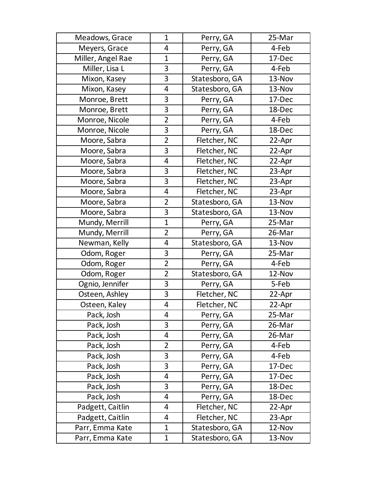| Meadows, Grace    | $\mathbf{1}$   | Perry, GA      | 25-Mar |
|-------------------|----------------|----------------|--------|
| Meyers, Grace     | 4              | Perry, GA      | 4-Feb  |
| Miller, Angel Rae | $\mathbf 1$    | Perry, GA      | 17-Dec |
| Miller, Lisa L    | 3              | Perry, GA      | 4-Feb  |
| Mixon, Kasey      | 3              | Statesboro, GA | 13-Nov |
| Mixon, Kasey      | 4              | Statesboro, GA | 13-Nov |
| Monroe, Brett     | 3              | Perry, GA      | 17-Dec |
| Monroe, Brett     | 3              | Perry, GA      | 18-Dec |
| Monroe, Nicole    | $\overline{2}$ | Perry, GA      | 4-Feb  |
| Monroe, Nicole    | 3              | Perry, GA      | 18-Dec |
| Moore, Sabra      | $\overline{2}$ | Fletcher, NC   | 22-Apr |
| Moore, Sabra      | 3              | Fletcher, NC   | 22-Apr |
| Moore, Sabra      | 4              | Fletcher, NC   | 22-Apr |
| Moore, Sabra      | 3              | Fletcher, NC   | 23-Apr |
| Moore, Sabra      | 3              | Fletcher, NC   | 23-Apr |
| Moore, Sabra      | 4              | Fletcher, NC   | 23-Apr |
| Moore, Sabra      | $\overline{2}$ | Statesboro, GA | 13-Nov |
| Moore, Sabra      | 3              | Statesboro, GA | 13-Nov |
| Mundy, Merrill    | $\mathbf 1$    | Perry, GA      | 25-Mar |
| Mundy, Merrill    | $\overline{2}$ | Perry, GA      | 26-Mar |
| Newman, Kelly     | 4              | Statesboro, GA | 13-Nov |
| Odom, Roger       | 3              | Perry, GA      | 25-Mar |
| Odom, Roger       | $\overline{2}$ | Perry, GA      | 4-Feb  |
| Odom, Roger       | $\overline{2}$ | Statesboro, GA | 12-Nov |
| Ognio, Jennifer   | 3              | Perry, GA      | 5-Feb  |
| Osteen, Ashley    | 3              | Fletcher, NC   | 22-Apr |
| Osteen, Kaley     | 4              | Fletcher, NC   | 22-Apr |
| Pack, Josh        | 4              | Perry, GA      | 25-Mar |
| Pack, Josh        | 3              | Perry, GA      | 26-Mar |
| Pack, Josh        | 4              | Perry, GA      | 26-Mar |
| Pack, Josh        | $\overline{2}$ | Perry, GA      | 4-Feb  |
| Pack, Josh        | 3              | Perry, GA      | 4-Feb  |
| Pack, Josh        | 3              | Perry, GA      | 17-Dec |
| Pack, Josh        | 4              | Perry, GA      | 17-Dec |
| Pack, Josh        | 3              | Perry, GA      | 18-Dec |
| Pack, Josh        | 4              | Perry, GA      | 18-Dec |
| Padgett, Caitlin  | 4              | Fletcher, NC   | 22-Apr |
| Padgett, Caitlin  | 4              | Fletcher, NC   | 23-Apr |
| Parr, Emma Kate   | $\mathbf{1}$   | Statesboro, GA | 12-Nov |
| Parr, Emma Kate   | $\mathbf 1$    | Statesboro, GA | 13-Nov |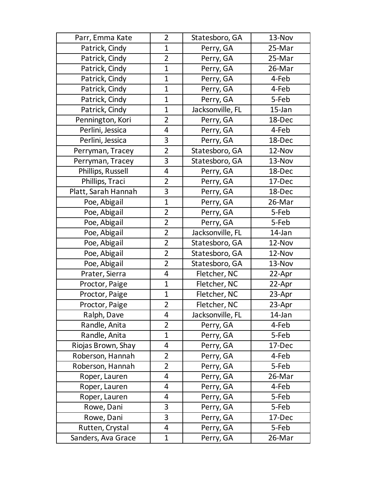| Parr, Emma Kate     | $\overline{2}$ | Statesboro, GA   | 13-Nov    |
|---------------------|----------------|------------------|-----------|
| Patrick, Cindy      | $\mathbf 1$    | Perry, GA        | 25-Mar    |
| Patrick, Cindy      | $\overline{2}$ | Perry, GA        | 25-Mar    |
| Patrick, Cindy      | $\mathbf{1}$   | Perry, GA        | 26-Mar    |
| Patrick, Cindy      | $\mathbf{1}$   | Perry, GA        | 4-Feb     |
| Patrick, Cindy      | $\mathbf 1$    | Perry, GA        | 4-Feb     |
| Patrick, Cindy      | $\mathbf 1$    | Perry, GA        | 5-Feb     |
| Patrick, Cindy      | $\mathbf{1}$   | Jacksonville, FL | $15$ -Jan |
| Pennington, Kori    | $\overline{2}$ | Perry, GA        | 18-Dec    |
| Perlini, Jessica    | 4              | Perry, GA        | 4-Feb     |
| Perlini, Jessica    | 3              | Perry, GA        | 18-Dec    |
| Perryman, Tracey    | $\overline{2}$ | Statesboro, GA   | 12-Nov    |
| Perryman, Tracey    | 3              | Statesboro, GA   | 13-Nov    |
| Phillips, Russell   | 4              | Perry, GA        | 18-Dec    |
| Phillips, Traci     | $\overline{2}$ | Perry, GA        | 17-Dec    |
| Platt, Sarah Hannah | 3              | Perry, GA        | 18-Dec    |
| Poe, Abigail        | $\mathbf{1}$   | Perry, GA        | 26-Mar    |
| Poe, Abigail        | $\overline{2}$ | Perry, GA        | 5-Feb     |
| Poe, Abigail        | $\overline{2}$ | Perry, GA        | 5-Feb     |
| Poe, Abigail        | $\overline{2}$ | Jacksonville, FL | 14-Jan    |
| Poe, Abigail        | $\overline{2}$ | Statesboro, GA   | 12-Nov    |
| Poe, Abigail        | $\overline{2}$ | Statesboro, GA   | 12-Nov    |
| Poe, Abigail        | $\overline{2}$ | Statesboro, GA   | 13-Nov    |
| Prater, Sierra      | 4              | Fletcher, NC     | 22-Apr    |
| Proctor, Paige      | $\mathbf{1}$   | Fletcher, NC     | 22-Apr    |
| Proctor, Paige      | $\mathbf 1$    | Fletcher, NC     | 23-Apr    |
| Proctor, Paige      | $\overline{2}$ | Fletcher, NC     | 23-Apr    |
| Ralph, Dave         | 4              | Jacksonville, FL | 14-Jan    |
| Randle, Anita       | $\overline{2}$ | Perry, GA        | 4-Feb     |
| Randle, Anita       | $\mathbf{1}$   | Perry, GA        | 5-Feb     |
| Riojas Brown, Shay  | 4              | Perry, GA        | 17-Dec    |
| Roberson, Hannah    | $\overline{2}$ | Perry, GA        | 4-Feb     |
| Roberson, Hannah    | $\overline{2}$ | Perry, GA        | 5-Feb     |
| Roper, Lauren       | 4              | Perry, GA        | 26-Mar    |
| Roper, Lauren       | 4              | Perry, GA        | 4-Feb     |
| Roper, Lauren       | 4              | Perry, GA        | 5-Feb     |
| Rowe, Dani          | 3              | Perry, GA        | 5-Feb     |
| Rowe, Dani          | 3              | Perry, GA        | 17-Dec    |
| Rutten, Crystal     | 4              | Perry, GA        | 5-Feb     |
| Sanders, Ava Grace  | $\mathbf{1}$   | Perry, GA        | 26-Mar    |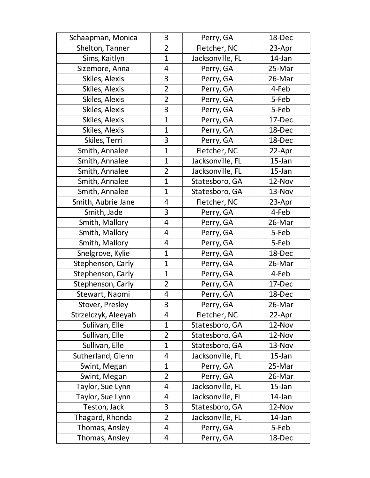| Schaapman, Monica   | 3              | Perry, GA        | 18-Dec    |
|---------------------|----------------|------------------|-----------|
| Shelton, Tanner     | $\overline{2}$ | Fletcher, NC     | 23-Apr    |
| Sims, Kaitlyn       | $\mathbf 1$    | Jacksonville, FL | 14-Jan    |
| Sizemore, Anna      | 4              | Perry, GA        | 25-Mar    |
| Skiles, Alexis      | 3              | Perry, GA        | 26-Mar    |
| Skiles, Alexis      | $\overline{2}$ | Perry, GA        | 4-Feb     |
| Skiles, Alexis      | $\overline{2}$ | Perry, GA        | 5-Feb     |
| Skiles, Alexis      | 3              | Perry, GA        | 5-Feb     |
| Skiles, Alexis      | $\overline{1}$ | Perry, GA        | 17-Dec    |
| Skiles, Alexis      | $\mathbf{1}$   | Perry, GA        | 18-Dec    |
| Skiles, Terri       | 3              | Perry, GA        | 18-Dec    |
| Smith, Annalee      | $\mathbf{1}$   | Fletcher, NC     | 22-Apr    |
| Smith, Annalee      | $\mathbf 1$    | Jacksonville, FL | $15$ -Jan |
| Smith, Annalee      | $\overline{2}$ | Jacksonville, FL | $15$ -Jan |
| Smith, Annalee      | $\mathbf 1$    | Statesboro, GA   | 12-Nov    |
| Smith, Annalee      | $\mathbf{1}$   | Statesboro, GA   | 13-Nov    |
| Smith, Aubrie Jane  | 4              | Fletcher, NC     | 23-Apr    |
| Smith, Jade         | 3              | Perry, GA        | 4-Feb     |
| Smith, Mallory      | 4              | Perry, GA        | 26-Mar    |
| Smith, Mallory      | 4              | Perry, GA        | 5-Feb     |
| Smith, Mallory      | 4              | Perry, GA        | 5-Feb     |
| Snelgrove, Kylie    | $\mathbf 1$    | Perry, GA        | 18-Dec    |
| Stephenson, Carly   | $\mathbf{1}$   | Perry, GA        | 26-Mar    |
| Stephenson, Carly   | $\mathbf{1}$   | Perry, GA        | 4-Feb     |
| Stephenson, Carly   | $\overline{2}$ | Perry, GA        | 17-Dec    |
| Stewart, Naomi      | 4              | Perry, GA        | 18-Dec    |
| Stover, Presley     | 3              | Perry, GA        | 26-Mar    |
| Strzelczyk, Aleeyah | 4              | Fletcher, NC     | 22-Apr    |
| Suliivan, Elle      | $\mathbf{1}$   | Statesboro, GA   | 12-Nov    |
| Sullivan, Elle      | $\overline{2}$ | Statesboro, GA   | 12-Nov    |
| Sullivan, Elle      | $\mathbf{1}$   | Statesboro, GA   | 13-Nov    |
| Sutherland, Glenn   | 4              | Jacksonville, FL | $15$ -Jan |
| Swint, Megan        | $\mathbf{1}$   | Perry, GA        | 25-Mar    |
| Swint, Megan        | $\overline{2}$ | Perry, GA        | 26-Mar    |
| Taylor, Sue Lynn    | 4              | Jacksonville, FL | $15$ -Jan |
| Taylor, Sue Lynn    | 4              | Jacksonville, FL | 14-Jan    |
| Teston, Jack        | 3              | Statesboro, GA   | 12-Nov    |
| Thagard, Rhonda     | $\overline{2}$ | Jacksonville, FL | 14-Jan    |
| Thomas, Ansley      | 4              | Perry, GA        | 5-Feb     |
| Thomas, Ansley      | 4              | Perry, GA        | 18-Dec    |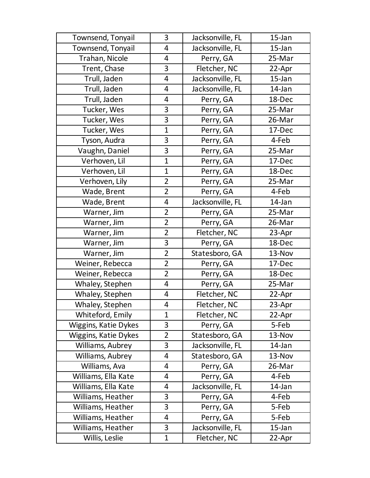| Townsend, Tonyail    | 3              | Jacksonville, FL | $15$ -Jan |
|----------------------|----------------|------------------|-----------|
| Townsend, Tonyail    | 4              | Jacksonville, FL | $15$ -Jan |
| Trahan, Nicole       | 4              | Perry, GA        | 25-Mar    |
| Trent, Chase         | 3              | Fletcher, NC     | 22-Apr    |
| Trull, Jaden         | 4              | Jacksonville, FL | 15-Jan    |
| Trull, Jaden         | 4              | Jacksonville, FL | 14-Jan    |
| Trull, Jaden         | 4              | Perry, GA        | 18-Dec    |
| Tucker, Wes          | 3              | Perry, GA        | 25-Mar    |
| Tucker, Wes          | 3              | Perry, GA        | 26-Mar    |
| Tucker, Wes          | $\mathbf{1}$   | Perry, GA        | 17-Dec    |
| Tyson, Audra         | 3              | Perry, GA        | 4-Feb     |
| Vaughn, Daniel       | 3              | Perry, GA        | 25-Mar    |
| Verhoven, Lil        | $\mathbf{1}$   | Perry, GA        | 17-Dec    |
| Verhoven, Lil        | $\mathbf{1}$   | Perry, GA        | 18-Dec    |
| Verhoven, Lily       | $\overline{2}$ | Perry, GA        | 25-Mar    |
| Wade, Brent          | $\overline{2}$ | Perry, GA        | 4-Feb     |
| Wade, Brent          | 4              | Jacksonville, FL | 14-Jan    |
| Warner, Jim          | $\overline{2}$ | Perry, GA        | 25-Mar    |
| Warner, Jim          | $\overline{2}$ | Perry, GA        | 26-Mar    |
| Warner, Jim          | $\overline{2}$ | Fletcher, NC     | 23-Apr    |
| Warner, Jim          | 3              | Perry, GA        | 18-Dec    |
| Warner, Jim          | $\overline{2}$ | Statesboro, GA   | 13-Nov    |
| Weiner, Rebecca      | $\overline{2}$ | Perry, GA        | 17-Dec    |
| Weiner, Rebecca      | $\overline{2}$ | Perry, GA        | 18-Dec    |
| Whaley, Stephen      | 4              | Perry, GA        | 25-Mar    |
| Whaley, Stephen      | 4              | Fletcher, NC     | 22-Apr    |
| Whaley, Stephen      | 4              | Fletcher, NC     | 23-Apr    |
| Whiteford, Emily     | $\mathbf{1}$   | Fletcher, NC     | 22-Apr    |
| Wiggins, Katie Dykes | 3              | Perry, GA        | 5-Feb     |
| Wiggins, Katie Dykes | $\overline{2}$ | Statesboro, GA   | 13-Nov    |
| Williams, Aubrey     | 3              | Jacksonville, FL | 14-Jan    |
| Williams, Aubrey     | 4              | Statesboro, GA   | 13-Nov    |
| Williams, Ava        | 4              | Perry, GA        | 26-Mar    |
| Williams, Ella Kate  | 4              | Perry, GA        | 4-Feb     |
| Williams, Ella Kate  | 4              | Jacksonville, FL | 14-Jan    |
| Williams, Heather    | 3              | Perry, GA        | 4-Feb     |
| Williams, Heather    | 3              | Perry, GA        | 5-Feb     |
| Williams, Heather    | 4              | Perry, GA        | 5-Feb     |
| Williams, Heather    | 3              | Jacksonville, FL | $15$ -Jan |
| Willis, Leslie       | $\mathbf 1$    | Fletcher, NC     | 22-Apr    |